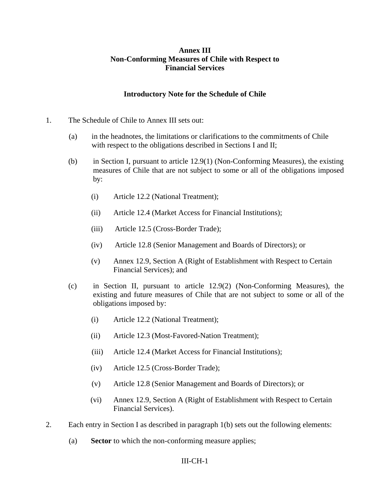## **Annex III Non-Conforming Measures of Chile with Respect to Financial Services**

### **Introductory Note for the Schedule of Chile**

- 1. The Schedule of Chile to Annex III sets out:
	- (a) in the headnotes, the limitations or clarifications to the commitments of Chile with respect to the obligations described in Sections I and II;
	- (b) in Section I, pursuant to article 12.9(1) (Non-Conforming Measures), the existing measures of Chile that are not subject to some or all of the obligations imposed by:
		- (i) Article 12.2 (National Treatment);
		- (ii) Article 12.4 (Market Access for Financial Institutions);
		- (iii) Article 12.5 (Cross-Border Trade);
		- (iv) Article 12.8 (Senior Management and Boards of Directors); or
		- (v) Annex 12.9, Section A (Right of Establishment with Respect to Certain Financial Services); and
	- (c) in Section II, pursuant to article 12.9(2) (Non-Conforming Measures), the existing and future measures of Chile that are not subject to some or all of the obligations imposed by:
		- (i) Article 12.2 (National Treatment);
		- (ii) Article 12.3 (Most-Favored-Nation Treatment);
		- (iii) Article 12.4 (Market Access for Financial Institutions);
		- (iv) Article 12.5 (Cross-Border Trade);
		- (v) Article 12.8 (Senior Management and Boards of Directors); or
		- (vi) Annex 12.9, Section A (Right of Establishment with Respect to Certain Financial Services).
- 2. Each entry in Section I as described in paragraph 1(b) sets out the following elements:
	- (a) **Sector** to which the non-conforming measure applies;

### III-CH-1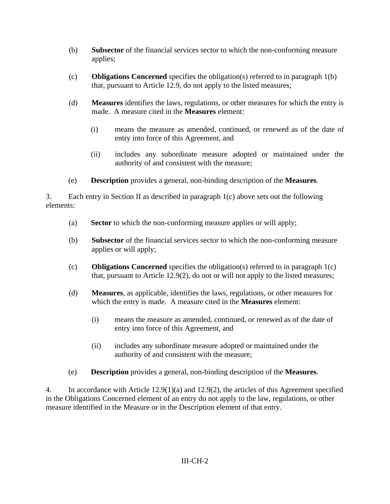- (b) **Subsector** of the financial services sector to which the non-conforming measure applies;
- (c) **Obligations Concerned** specifies the obligation(s) referred to in paragraph 1(b) that, pursuant to Article 12.9, do not apply to the listed measures;
- (d) **Measures** identifies the laws, regulations, or other measures for which the entry is made. A measure cited in the **Measures** element:
	- (i) means the measure as amended, continued, or renewed as of the date of entry into force of this Agreement, and
	- (ii) includes any subordinate measure adopted or maintained under the authority of and consistent with the measure;
- (e) **Description** provides a general, non-binding description of the **Measures**.

3. Each entry in Section II as described in paragraph 1(c) above sets out the following elements:

- (a) **Sector** to which the non-conforming measure applies or will apply;
- (b) **Subsector** of the financial services sector to which the non-conforming measure applies or will apply;
- (c) **Obligations Concerned** specifies the obligation(s) referred to in paragraph 1(c) that, pursuant to Article 12.9(2), do not or will not apply to the listed measures;
- (d) **Measures**, as applicable, identifies the laws, regulations, or other measures for which the entry is made. A measure cited in the **Measures** element:
	- (i) means the measure as amended, continued, or renewed as of the date of entry into force of this Agreement, and
	- (ii) includes any subordinate measure adopted or maintained under the authority of and consistent with the measure;
- (e) **Description** provides a general, non-binding description of the **Measures**.

4. In accordance with Article 12.9(1)(a) and 12.9(2), the articles of this Agreement specified in the Obligations Concerned element of an entry do not apply to the law, regulations, or other measure identified in the Measure or in the Description element of that entry.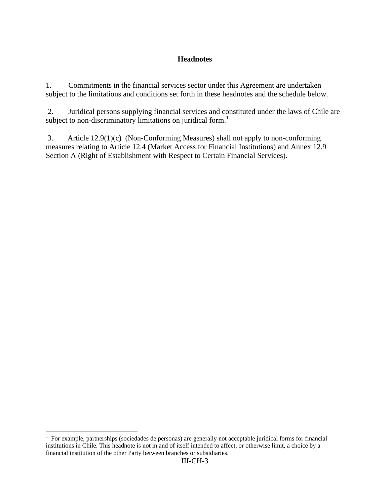## **Headnotes**

1. Commitments in the financial services sector under this Agreement are undertaken subject to the limitations and conditions set forth in these headnotes and the schedule below.

 2. Juridical persons supplying financial services and constituted under the laws of Chile are subject to non-discriminatory limitations on juridical form.<sup>1</sup>

3. Article 12.9(1)(c) (Non-Conforming Measures) shall not apply to non-conforming measures relating to Article 12.4 (Market Access for Financial Institutions) and Annex 12.9 Section A (Right of Establishment with Respect to Certain Financial Services).

1

<sup>&</sup>lt;sup>1</sup> For example, partnerships (sociedades de personas) are generally not acceptable juridical forms for financial institutions in Chile. This headnote is not in and of itself intended to affect, or otherwise limit, a choice by a financial institution of the other Party between branches or subsidiaries.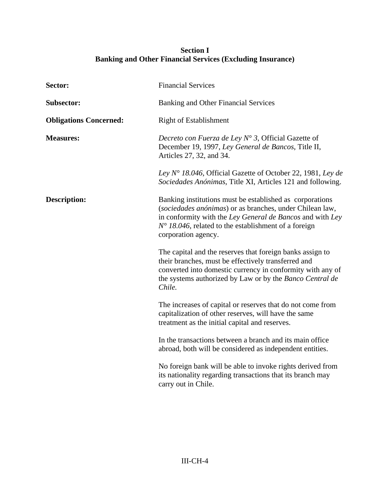## **Section I Banking and Other Financial Services (Excluding Insurance)**

| Sector:                       | <b>Financial Services</b>                                                                                                                                                                                                                                                 |
|-------------------------------|---------------------------------------------------------------------------------------------------------------------------------------------------------------------------------------------------------------------------------------------------------------------------|
| <b>Subsector:</b>             | <b>Banking and Other Financial Services</b>                                                                                                                                                                                                                               |
| <b>Obligations Concerned:</b> | <b>Right of Establishment</b>                                                                                                                                                                                                                                             |
| <b>Measures:</b>              | Decreto con Fuerza de Ley $N^{\circ}$ 3, Official Gazette of<br>December 19, 1997, Ley General de Bancos, Title II,<br>Articles 27, 32, and 34.                                                                                                                           |
|                               | Ley N° 18.046, Official Gazette of October 22, 1981, Ley de<br>Sociedades Anónimas, Title XI, Articles 121 and following.                                                                                                                                                 |
| <b>Description:</b>           | Banking institutions must be established as corporations<br>(sociedades anónimas) or as branches, under Chilean law,<br>in conformity with the Ley General de Bancos and with Ley<br>$N^{\circ}$ 18.046, related to the establishment of a foreign<br>corporation agency. |
|                               | The capital and the reserves that foreign banks assign to<br>their branches, must be effectively transferred and<br>converted into domestic currency in conformity with any of<br>the systems authorized by Law or by the Banco Central de<br>Chile.                      |
|                               | The increases of capital or reserves that do not come from<br>capitalization of other reserves, will have the same<br>treatment as the initial capital and reserves.                                                                                                      |
|                               | In the transactions between a branch and its main office<br>abroad, both will be considered as independent entities.                                                                                                                                                      |
|                               | No foreign bank will be able to invoke rights derived from<br>its nationality regarding transactions that its branch may<br>carry out in Chile.                                                                                                                           |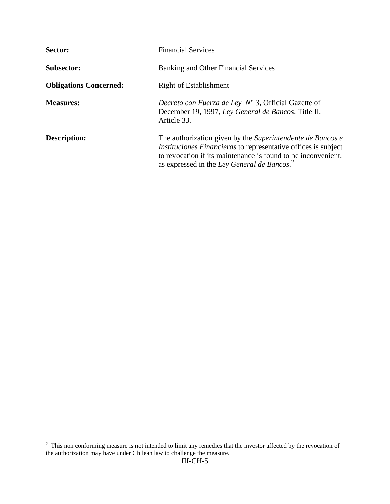| Sector:                       | <b>Financial Services</b>                                                                                                                                                                                                                                       |
|-------------------------------|-----------------------------------------------------------------------------------------------------------------------------------------------------------------------------------------------------------------------------------------------------------------|
| <b>Subsector:</b>             | <b>Banking and Other Financial Services</b>                                                                                                                                                                                                                     |
| <b>Obligations Concerned:</b> | <b>Right of Establishment</b>                                                                                                                                                                                                                                   |
| <b>Measures:</b>              | <i>Decreto con Fuerza de Ley N° 3, Official Gazette of</i><br>December 19, 1997, Ley General de Bancos, Title II,<br>Article 33.                                                                                                                                |
| Description:                  | The authorization given by the Superintendente de Bancos e<br><i>Instituciones Financieras</i> to representative offices is subject<br>to revocation if its maintenance is found to be inconvenient,<br>as expressed in the Ley General de Bancos. <sup>2</sup> |

<sup>&</sup>lt;sup>2</sup> This non conforming measure is not intended to limit any remedies that the investor affected by the revocation of the authorization may have under Chilean law to challenge the measure.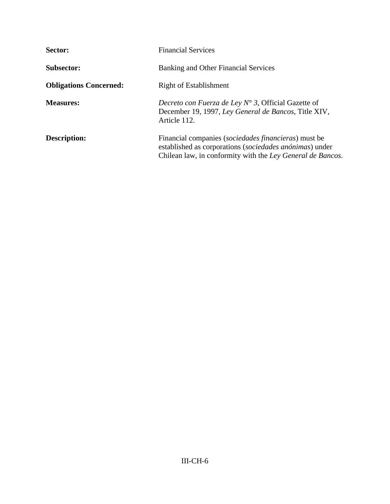| Sector:                       | <b>Financial Services</b>                                                                                                                                                              |
|-------------------------------|----------------------------------------------------------------------------------------------------------------------------------------------------------------------------------------|
| <b>Subsector:</b>             | Banking and Other Financial Services                                                                                                                                                   |
| <b>Obligations Concerned:</b> | <b>Right of Establishment</b>                                                                                                                                                          |
| <b>Measures:</b>              | Decreto con Fuerza de Ley $N^{\circ}$ 3, Official Gazette of<br>December 19, 1997, Ley General de Bancos, Title XIV,<br>Article 112.                                                   |
| <b>Description:</b>           | Financial companies ( <i>sociedades financieras</i> ) must be<br>established as corporations (sociedades anónimas) under<br>Chilean law, in conformity with the Ley General de Bancos. |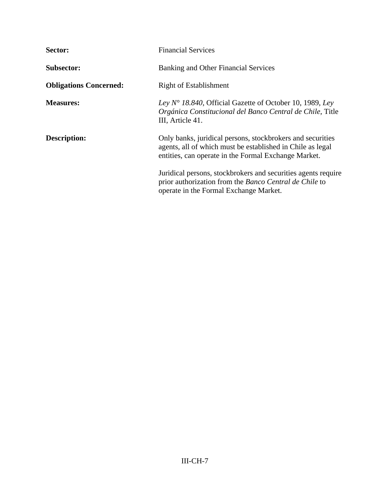| Sector:                       | <b>Financial Services</b>                                                                                                                                                        |
|-------------------------------|----------------------------------------------------------------------------------------------------------------------------------------------------------------------------------|
| <b>Subsector:</b>             | <b>Banking and Other Financial Services</b>                                                                                                                                      |
| <b>Obligations Concerned:</b> | <b>Right of Establishment</b>                                                                                                                                                    |
| <b>Measures:</b>              | Ley $N^{\circ}$ 18.840, Official Gazette of October 10, 1989, Ley<br>Orgánica Constitucional del Banco Central de Chile, Title<br>III, Article 41.                               |
| <b>Description:</b>           | Only banks, juridical persons, stockbrokers and securities<br>agents, all of which must be established in Chile as legal<br>entities, can operate in the Formal Exchange Market. |
|                               | Juridical persons, stockbrokers and securities agents require<br>prior authorization from the Banco Central de Chile to<br>operate in the Formal Exchange Market.                |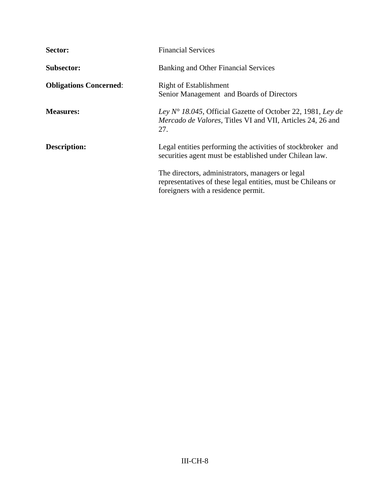| Sector:                       | <b>Financial Services</b>                                                                                                                               |
|-------------------------------|---------------------------------------------------------------------------------------------------------------------------------------------------------|
| <b>Subsector:</b>             | Banking and Other Financial Services                                                                                                                    |
| <b>Obligations Concerned:</b> | <b>Right of Establishment</b><br>Senior Management and Boards of Directors                                                                              |
| <b>Measures:</b>              | Ley $N^{\circ}$ 18.045, Official Gazette of October 22, 1981, Ley de<br><i>Mercado de Valores, Titles VI and VII, Articles 24, 26 and</i><br>27.        |
| <b>Description:</b>           | Legal entities performing the activities of stockbroker and<br>securities agent must be established under Chilean law.                                  |
|                               | The directors, administrators, managers or legal<br>representatives of these legal entities, must be Chileans or<br>foreigners with a residence permit. |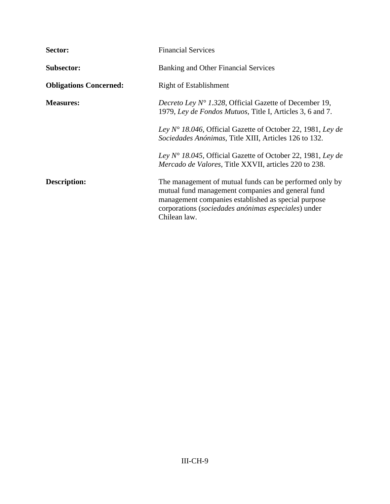| Sector:                       | <b>Financial Services</b>                                                                                                                                                                                                                  |
|-------------------------------|--------------------------------------------------------------------------------------------------------------------------------------------------------------------------------------------------------------------------------------------|
| <b>Subsector:</b>             | Banking and Other Financial Services                                                                                                                                                                                                       |
| <b>Obligations Concerned:</b> | <b>Right of Establishment</b>                                                                                                                                                                                                              |
| <b>Measures:</b>              | <i>Decreto Ley N° 1.328</i> , Official Gazette of December 19,<br>1979, Ley de Fondos Mutuos, Title I, Articles 3, 6 and 7.                                                                                                                |
|                               | Ley $N^{\circ}$ 18.046, Official Gazette of October 22, 1981, Ley de<br>Sociedades Anónimas, Title XIII, Articles 126 to 132.                                                                                                              |
|                               | Ley $N^{\circ}$ 18.045, Official Gazette of October 22, 1981, Ley de<br><i>Mercado de Valores, Title XXVII, articles 220 to 238.</i>                                                                                                       |
| Description:                  | The management of mutual funds can be performed only by<br>mutual fund management companies and general fund<br>management companies established as special purpose<br>corporations (sociedades anónimas especiales) under<br>Chilean law. |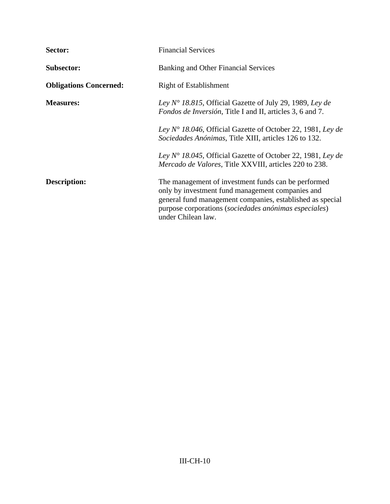| Sector:                       | <b>Financial Services</b>                                                                                                                                                                                                                           |
|-------------------------------|-----------------------------------------------------------------------------------------------------------------------------------------------------------------------------------------------------------------------------------------------------|
| <b>Subsector:</b>             | <b>Banking and Other Financial Services</b>                                                                                                                                                                                                         |
| <b>Obligations Concerned:</b> | <b>Right of Establishment</b>                                                                                                                                                                                                                       |
| <b>Measures:</b>              | Ley $N^{\circ}$ 18.815, Official Gazette of July 29, 1989, Ley de<br><i>Fondos de Inversión</i> , Title I and II, articles 3, 6 and 7.                                                                                                              |
|                               | Ley $N^{\circ}$ 18.046, Official Gazette of October 22, 1981, Ley de<br>Sociedades Anónimas, Title XIII, articles 126 to 132.                                                                                                                       |
|                               | Ley N° 18.045, Official Gazette of October 22, 1981, Ley de<br><i>Mercado de Valores, Title XXVIII, articles 220 to 238.</i>                                                                                                                        |
| Description:                  | The management of investment funds can be performed<br>only by investment fund management companies and<br>general fund management companies, established as special<br>purpose corporations (sociedades anónimas especiales)<br>under Chilean law. |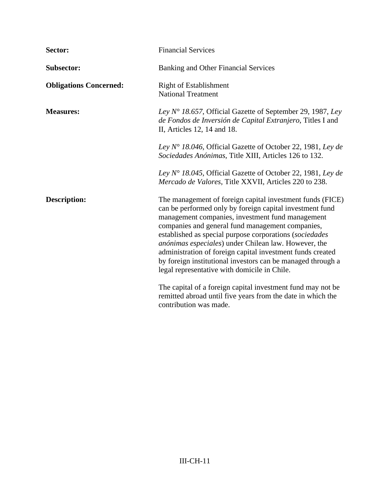| Sector:                       | <b>Financial Services</b>                                                                                                                                                                                                                                                                                                                                                                                                                                                                                                     |
|-------------------------------|-------------------------------------------------------------------------------------------------------------------------------------------------------------------------------------------------------------------------------------------------------------------------------------------------------------------------------------------------------------------------------------------------------------------------------------------------------------------------------------------------------------------------------|
| <b>Subsector:</b>             | <b>Banking and Other Financial Services</b>                                                                                                                                                                                                                                                                                                                                                                                                                                                                                   |
| <b>Obligations Concerned:</b> | <b>Right of Establishment</b><br><b>National Treatment</b>                                                                                                                                                                                                                                                                                                                                                                                                                                                                    |
| <b>Measures:</b>              | Ley $N^{\circ}$ 18.657, Official Gazette of September 29, 1987, Ley<br>de Fondos de Inversión de Capital Extranjero, Titles I and<br>II, Articles 12, 14 and 18.                                                                                                                                                                                                                                                                                                                                                              |
|                               | Ley $N^{\circ}$ 18.046, Official Gazette of October 22, 1981, Ley de<br>Sociedades Anónimas, Title XIII, Articles 126 to 132.                                                                                                                                                                                                                                                                                                                                                                                                 |
|                               | Ley N° 18.045, Official Gazette of October 22, 1981, Ley de<br>Mercado de Valores, Title XXVII, Articles 220 to 238.                                                                                                                                                                                                                                                                                                                                                                                                          |
| <b>Description:</b>           | The management of foreign capital investment funds (FICE)<br>can be performed only by foreign capital investment fund<br>management companies, investment fund management<br>companies and general fund management companies,<br>established as special purpose corporations (sociedades<br>anónimas especiales) under Chilean law. However, the<br>administration of foreign capital investment funds created<br>by foreign institutional investors can be managed through a<br>legal representative with domicile in Chile. |
|                               | The capital of a foreign capital investment fund may not be<br>remitted abroad until five years from the date in which the<br>contribution was made.                                                                                                                                                                                                                                                                                                                                                                          |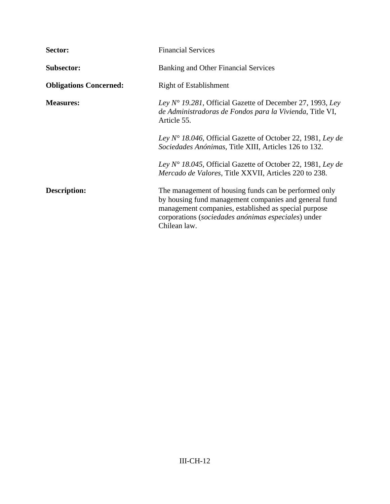| Sector:                       | <b>Financial Services</b>                                                                                                                                                                                                                     |
|-------------------------------|-----------------------------------------------------------------------------------------------------------------------------------------------------------------------------------------------------------------------------------------------|
| <b>Subsector:</b>             | <b>Banking and Other Financial Services</b>                                                                                                                                                                                                   |
| <b>Obligations Concerned:</b> | <b>Right of Establishment</b>                                                                                                                                                                                                                 |
| <b>Measures:</b>              | Ley $N^{\circ}$ 19.281, Official Gazette of December 27, 1993, Ley<br>de Administradoras de Fondos para la Vivienda, Title VI,<br>Article 55.                                                                                                 |
|                               | Ley $N^{\circ}$ 18.046, Official Gazette of October 22, 1981, Ley de<br>Sociedades Anónimas, Title XIII, Articles 126 to 132.                                                                                                                 |
|                               | Ley $N^{\circ}$ 18.045, Official Gazette of October 22, 1981, Ley de<br><i>Mercado de Valores, Title XXVII, Articles 220 to 238.</i>                                                                                                          |
| Description:                  | The management of housing funds can be performed only<br>by housing fund management companies and general fund<br>management companies, established as special purpose<br>corporations (sociedades anónimas especiales) under<br>Chilean law. |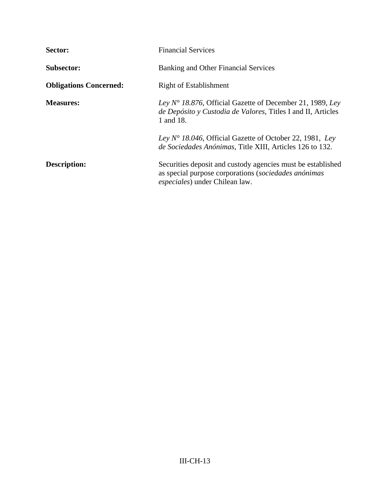| Sector:                       | <b>Financial Services</b>                                                                                                                             |
|-------------------------------|-------------------------------------------------------------------------------------------------------------------------------------------------------|
| <b>Subsector:</b>             | Banking and Other Financial Services                                                                                                                  |
| <b>Obligations Concerned:</b> | <b>Right of Establishment</b>                                                                                                                         |
| <b>Measures:</b>              | Ley $N^{\circ}$ 18.876, Official Gazette of December 21, 1989, Ley<br>de Depósito y Custodia de Valores, Titles I and II, Articles<br>1 and 18.       |
|                               | Ley $N^{\circ}$ 18.046, Official Gazette of October 22, 1981, Ley<br>de Sociedades Anónimas, Title XIII, Articles 126 to 132.                         |
| Description:                  | Securities deposit and custody agencies must be established<br>as special purpose corporations (sociedades anónimas<br>especiales) under Chilean law. |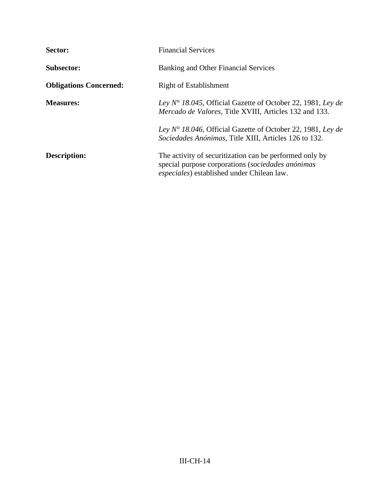| Sector:                       | <b>Financial Services</b>                                                                                                                                  |
|-------------------------------|------------------------------------------------------------------------------------------------------------------------------------------------------------|
| <b>Subsector:</b>             | Banking and Other Financial Services                                                                                                                       |
| <b>Obligations Concerned:</b> | <b>Right of Establishment</b>                                                                                                                              |
| <b>Measures:</b>              | Ley $N^{\circ}$ 18.045, Official Gazette of October 22, 1981, Ley de<br><i>Mercado de Valores, Title XVIII, Articles 132 and 133.</i>                      |
|                               | Ley $N^{\circ}$ 18.046, Official Gazette of October 22, 1981, Ley de<br>Sociedades Anónimas, Title XIII, Articles 126 to 132.                              |
| Description:                  | The activity of securitization can be performed only by<br>special purpose corporations (sociedades anónimas<br>especiales) established under Chilean law. |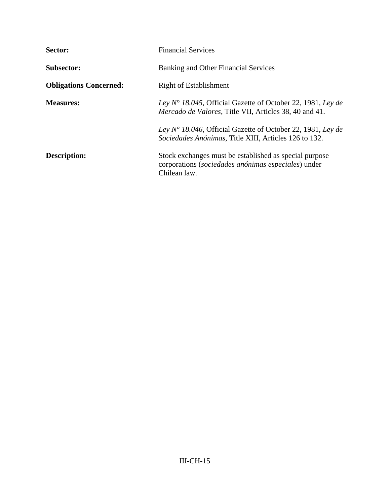| Sector:                       | <b>Financial Services</b>                                                                                                             |
|-------------------------------|---------------------------------------------------------------------------------------------------------------------------------------|
| <b>Subsector:</b>             | Banking and Other Financial Services                                                                                                  |
| <b>Obligations Concerned:</b> | <b>Right of Establishment</b>                                                                                                         |
| <b>Measures:</b>              | Ley $N^{\circ}$ 18.045, Official Gazette of October 22, 1981, Ley de<br><i>Mercado de Valores, Title VII, Articles 38, 40 and 41.</i> |
|                               | Ley $N^{\circ}$ 18.046, Official Gazette of October 22, 1981, Ley de<br>Sociedades Anónimas, Title XIII, Articles 126 to 132.         |
| Description:                  | Stock exchanges must be established as special purpose<br>corporations (sociedades anónimas especiales) under<br>Chilean law.         |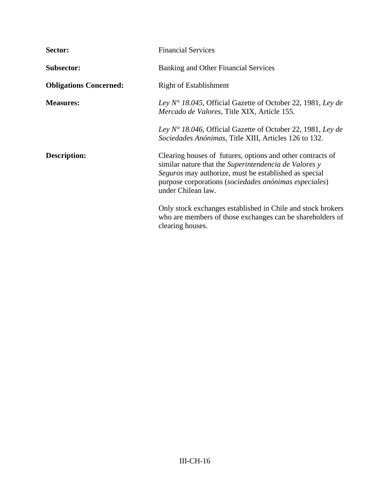| Sector:                       | <b>Financial Services</b>                                                                                                                                                                                                                                   |
|-------------------------------|-------------------------------------------------------------------------------------------------------------------------------------------------------------------------------------------------------------------------------------------------------------|
| <b>Subsector:</b>             | Banking and Other Financial Services                                                                                                                                                                                                                        |
| <b>Obligations Concerned:</b> | <b>Right of Establishment</b>                                                                                                                                                                                                                               |
| <b>Measures:</b>              | Ley $N^{\circ}$ 18.045, Official Gazette of October 22, 1981, Ley de<br>Mercado de Valores, Title XIX, Article 155.                                                                                                                                         |
|                               | Ley $N^{\circ}$ 18.046, Official Gazette of October 22, 1981, Ley de<br>Sociedades Anónimas, Title XIII, Articles 126 to 132.                                                                                                                               |
| Description:                  | Clearing houses of futures, options and other contracts of<br>similar nature that the Superintendencia de Valores y<br>Seguros may authorize, must be established as special<br>purpose corporations (sociedades anónimas especiales)<br>under Chilean law. |
|                               | Only stock exchanges established in Chile and stock brokers<br>who are members of those exchanges can be shareholders of<br>clearing houses.                                                                                                                |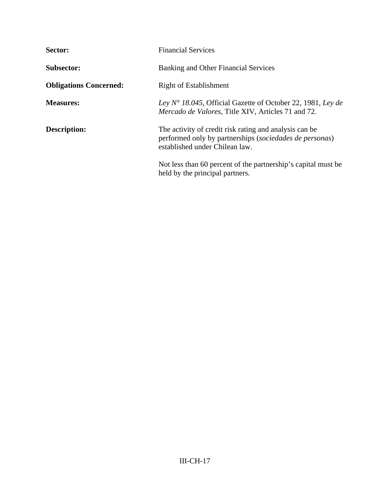| Sector:                       | <b>Financial Services</b>                                                                                                                           |
|-------------------------------|-----------------------------------------------------------------------------------------------------------------------------------------------------|
| <b>Subsector:</b>             | Banking and Other Financial Services                                                                                                                |
| <b>Obligations Concerned:</b> | <b>Right of Establishment</b>                                                                                                                       |
| <b>Measures:</b>              | Ley $N^{\circ}$ 18.045, Official Gazette of October 22, 1981, Ley de<br><i>Mercado de Valores, Title XIV, Articles 71 and 72.</i>                   |
| Description:                  | The activity of credit risk rating and analysis can be<br>performed only by partnerships (sociedades de personas)<br>established under Chilean law. |
|                               | Not less than 60 percent of the partnership's capital must be<br>held by the principal partners.                                                    |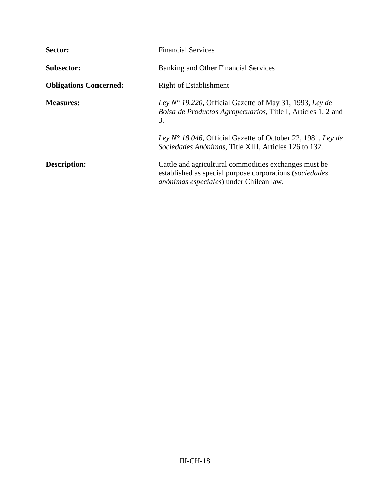| Sector:                       | <b>Financial Services</b>                                                                                                                                           |
|-------------------------------|---------------------------------------------------------------------------------------------------------------------------------------------------------------------|
| <b>Subsector:</b>             | Banking and Other Financial Services                                                                                                                                |
| <b>Obligations Concerned:</b> | <b>Right of Establishment</b>                                                                                                                                       |
| <b>Measures:</b>              | Ley N° 19.220, Official Gazette of May 31, 1993, Ley de<br>Bolsa de Productos Agropecuarios, Title I, Articles 1, 2 and<br>3.                                       |
|                               | Ley $N^{\circ}$ 18.046, Official Gazette of October 22, 1981, Ley de<br>Sociedades Anónimas, Title XIII, Articles 126 to 132.                                       |
| <b>Description:</b>           | Cattle and agricultural commodities exchanges must be<br>established as special purpose corporations (sociedades<br><i>anónimas especiales</i> ) under Chilean law. |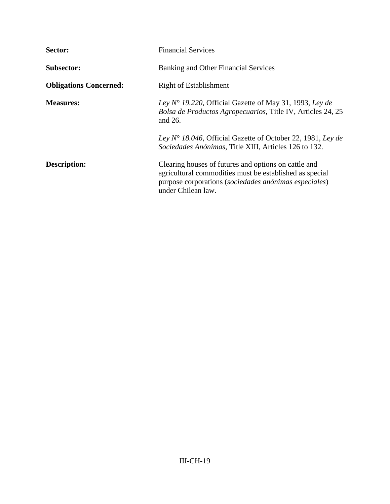| Sector:                       | <b>Financial Services</b>                                                                                                                                                                      |
|-------------------------------|------------------------------------------------------------------------------------------------------------------------------------------------------------------------------------------------|
| <b>Subsector:</b>             | Banking and Other Financial Services                                                                                                                                                           |
| <b>Obligations Concerned:</b> | <b>Right of Establishment</b>                                                                                                                                                                  |
| <b>Measures:</b>              | Ley $N^{\circ}$ 19.220, Official Gazette of May 31, 1993, Ley de<br>Bolsa de Productos Agropecuarios, Title IV, Articles 24, 25<br>and 26.                                                     |
|                               | Ley $N^{\circ}$ 18.046, Official Gazette of October 22, 1981, Ley de<br>Sociedades Anónimas, Title XIII, Articles 126 to 132.                                                                  |
| <b>Description:</b>           | Clearing houses of futures and options on cattle and<br>agricultural commodities must be established as special<br>purpose corporations (sociedades anónimas especiales)<br>under Chilean law. |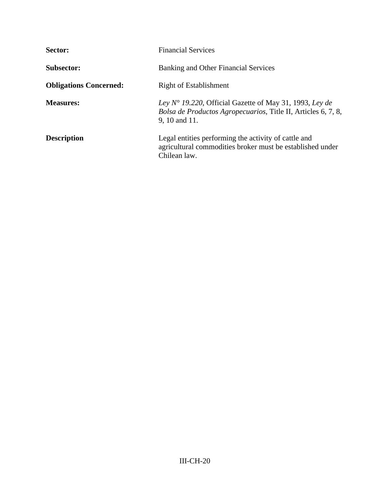| Sector:                       | <b>Financial Services</b>                                                                                                                          |
|-------------------------------|----------------------------------------------------------------------------------------------------------------------------------------------------|
| <b>Subsector:</b>             | Banking and Other Financial Services                                                                                                               |
| <b>Obligations Concerned:</b> | <b>Right of Establishment</b>                                                                                                                      |
| <b>Measures:</b>              | Ley $N^{\circ}$ 19.220, Official Gazette of May 31, 1993, Ley de<br>Bolsa de Productos Agropecuarios, Title II, Articles 6, 7, 8,<br>9, 10 and 11. |
| <b>Description</b>            | Legal entities performing the activity of cattle and<br>agricultural commodities broker must be established under<br>Chilean law.                  |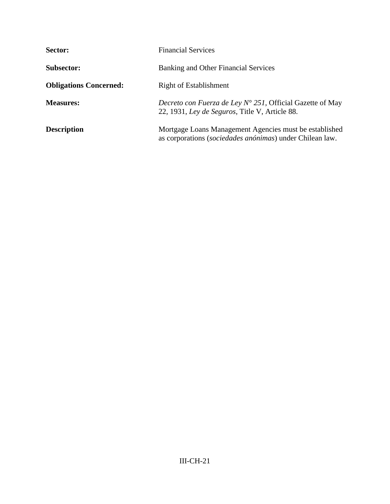| Sector:                       | <b>Financial Services</b>                                                                                           |
|-------------------------------|---------------------------------------------------------------------------------------------------------------------|
| <b>Subsector:</b>             | Banking and Other Financial Services                                                                                |
| <b>Obligations Concerned:</b> | Right of Establishment                                                                                              |
| <b>Measures:</b>              | <i>Decreto con Fuerza de Ley Nº 251</i> , Official Gazette of May<br>22, 1931, Ley de Seguros, Title V, Article 88. |
| <b>Description</b>            | Mortgage Loans Management Agencies must be established<br>as corporations (sociedades anónimas) under Chilean law.  |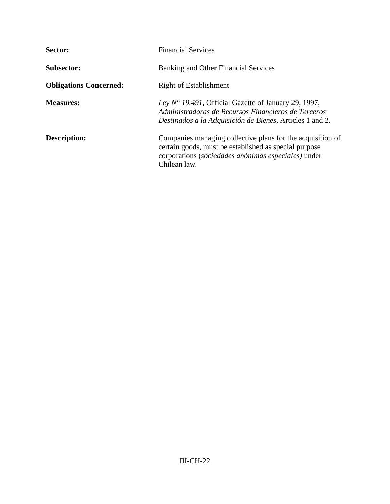| Sector:                       | <b>Financial Services</b>                                                                                                                                                                  |
|-------------------------------|--------------------------------------------------------------------------------------------------------------------------------------------------------------------------------------------|
| <b>Subsector:</b>             | Banking and Other Financial Services                                                                                                                                                       |
| <b>Obligations Concerned:</b> | <b>Right of Establishment</b>                                                                                                                                                              |
| <b>Measures:</b>              | Ley $N^{\circ}$ 19.491, Official Gazette of January 29, 1997,<br>Administradoras de Recursos Financieros de Terceros<br>Destinados a la Adquisición de Bienes, Articles 1 and 2.           |
| <b>Description:</b>           | Companies managing collective plans for the acquisition of<br>certain goods, must be established as special purpose<br>corporations (sociedades anónimas especiales) under<br>Chilean law. |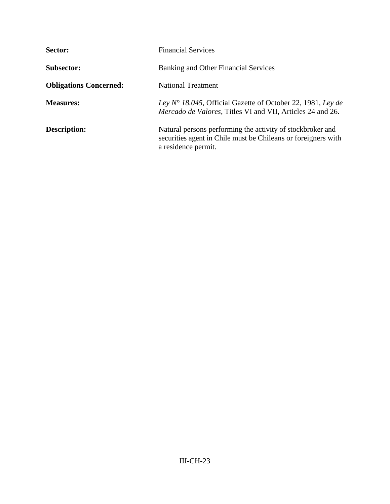| Sector:                       | <b>Financial Services</b>                                                                                                                          |
|-------------------------------|----------------------------------------------------------------------------------------------------------------------------------------------------|
| <b>Subsector:</b>             | Banking and Other Financial Services                                                                                                               |
| <b>Obligations Concerned:</b> | <b>National Treatment</b>                                                                                                                          |
| <b>Measures:</b>              | Ley $N^{\circ}$ 18.045, Official Gazette of October 22, 1981, Ley de<br><i>Mercado de Valores, Titles VI and VII, Articles 24 and 26.</i>          |
| <b>Description:</b>           | Natural persons performing the activity of stockbroker and<br>securities agent in Chile must be Chileans or foreigners with<br>a residence permit. |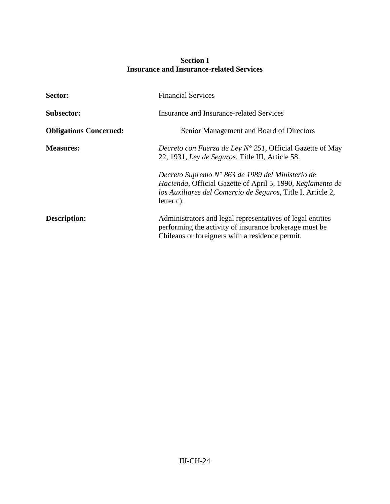## **Section I Insurance and Insurance-related Services**

| Sector:                       | <b>Financial Services</b>                                                                                                                                                                               |
|-------------------------------|---------------------------------------------------------------------------------------------------------------------------------------------------------------------------------------------------------|
| <b>Subsector:</b>             | Insurance and Insurance-related Services                                                                                                                                                                |
| <b>Obligations Concerned:</b> | Senior Management and Board of Directors                                                                                                                                                                |
| <b>Measures:</b>              | Decreto con Fuerza de Ley $N^{\circ}$ 251, Official Gazette of May<br>22, 1931, Ley de Seguros, Title III, Article 58.                                                                                  |
|                               | Decreto Supremo $N^{\circ}$ 863 de 1989 del Ministerio de<br>Hacienda, Official Gazette of April 5, 1990, Reglamento de<br>los Auxiliares del Comercio de Seguros, Title I, Article 2,<br>letter $c$ ). |
| <b>Description:</b>           | Administrators and legal representatives of legal entities<br>performing the activity of insurance brokerage must be<br>Chileans or foreigners with a residence permit.                                 |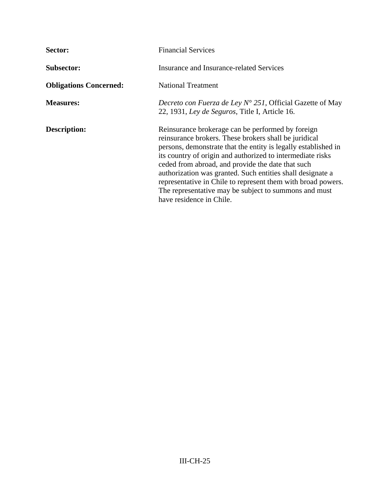| Sector:                       | <b>Financial Services</b>                                                                                                                                                                                                                                                                                                                                                                                                                                                                                          |
|-------------------------------|--------------------------------------------------------------------------------------------------------------------------------------------------------------------------------------------------------------------------------------------------------------------------------------------------------------------------------------------------------------------------------------------------------------------------------------------------------------------------------------------------------------------|
| <b>Subsector:</b>             | <b>Insurance and Insurance-related Services</b>                                                                                                                                                                                                                                                                                                                                                                                                                                                                    |
| <b>Obligations Concerned:</b> | <b>National Treatment</b>                                                                                                                                                                                                                                                                                                                                                                                                                                                                                          |
| <b>Measures:</b>              | Decreto con Fuerza de Ley $N^{\circ}$ 251, Official Gazette of May<br>22, 1931, Ley de Seguros, Title I, Article 16.                                                                                                                                                                                                                                                                                                                                                                                               |
| <b>Description:</b>           | Reinsurance brokerage can be performed by foreign<br>reinsurance brokers. These brokers shall be juridical<br>persons, demonstrate that the entity is legally established in<br>its country of origin and authorized to intermediate risks<br>ceded from abroad, and provide the date that such<br>authorization was granted. Such entities shall designate a<br>representative in Chile to represent them with broad powers.<br>The representative may be subject to summons and must<br>have residence in Chile. |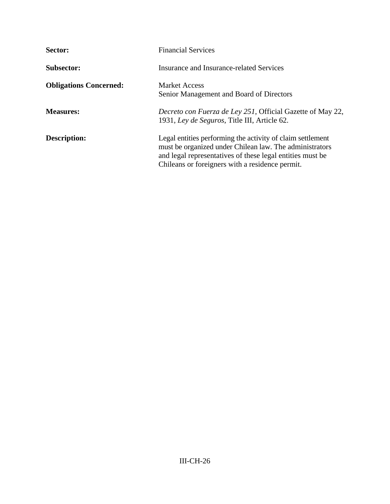| Sector:                       | <b>Financial Services</b>                                                                                                                                                                                                             |
|-------------------------------|---------------------------------------------------------------------------------------------------------------------------------------------------------------------------------------------------------------------------------------|
| <b>Subsector:</b>             | Insurance and Insurance-related Services                                                                                                                                                                                              |
| <b>Obligations Concerned:</b> | <b>Market Access</b><br>Senior Management and Board of Directors                                                                                                                                                                      |
| <b>Measures:</b>              | <i>Decreto con Fuerza de Ley 251</i> , Official Gazette of May 22,<br>1931, Ley de Seguros, Title III, Article 62.                                                                                                                    |
| <b>Description:</b>           | Legal entities performing the activity of claim settlement<br>must be organized under Chilean law. The administrators<br>and legal representatives of these legal entities must be<br>Chileans or foreigners with a residence permit. |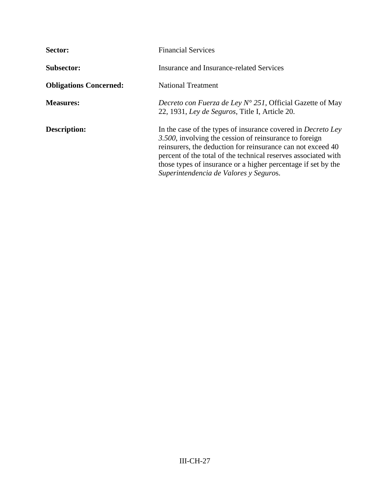| Sector:                       | <b>Financial Services</b>                                                                                                                                                                                                                                                                                                                                                 |
|-------------------------------|---------------------------------------------------------------------------------------------------------------------------------------------------------------------------------------------------------------------------------------------------------------------------------------------------------------------------------------------------------------------------|
| <b>Subsector:</b>             | Insurance and Insurance-related Services                                                                                                                                                                                                                                                                                                                                  |
| <b>Obligations Concerned:</b> | <b>National Treatment</b>                                                                                                                                                                                                                                                                                                                                                 |
| <b>Measures:</b>              | <i>Decreto con Fuerza de Ley Nº 251</i> , Official Gazette of May<br>22, 1931, Ley de Seguros, Title I, Article 20.                                                                                                                                                                                                                                                       |
| Description:                  | In the case of the types of insurance covered in <i>Decreto Ley</i><br>3.500, involving the cession of reinsurance to foreign<br>reinsurers, the deduction for reinsurance can not exceed 40<br>percent of the total of the technical reserves associated with<br>those types of insurance or a higher percentage if set by the<br>Superintendencia de Valores y Seguros. |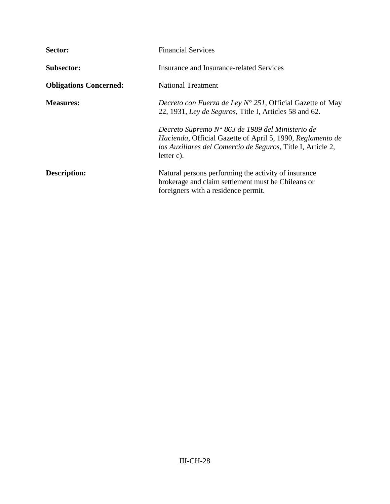| Sector:                       | <b>Financial Services</b>                                                                                                                                                                               |
|-------------------------------|---------------------------------------------------------------------------------------------------------------------------------------------------------------------------------------------------------|
| <b>Subsector:</b>             | Insurance and Insurance-related Services                                                                                                                                                                |
| <b>Obligations Concerned:</b> | <b>National Treatment</b>                                                                                                                                                                               |
| <b>Measures:</b>              | <i>Decreto con Fuerza de Ley Nº 251</i> , Official Gazette of May<br>22, 1931, Ley de Seguros, Title I, Articles 58 and 62.                                                                             |
|                               | Decreto Supremo $N^{\circ}$ 863 de 1989 del Ministerio de<br>Hacienda, Official Gazette of April 5, 1990, Reglamento de<br>los Auxiliares del Comercio de Seguros, Title I, Article 2,<br>letter $c$ ). |
| Description:                  | Natural persons performing the activity of insurance<br>brokerage and claim settlement must be Chileans or<br>foreigners with a residence permit.                                                       |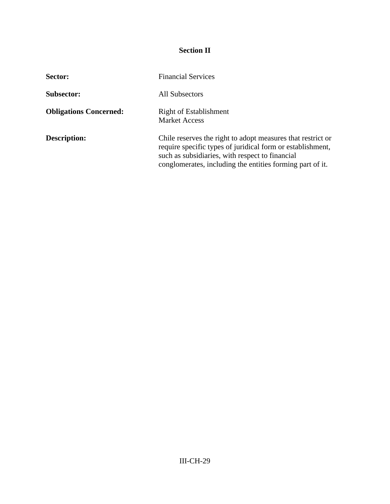# **Section II**

| Sector:                       | <b>Financial Services</b>                                                                                                                                                                                                                 |
|-------------------------------|-------------------------------------------------------------------------------------------------------------------------------------------------------------------------------------------------------------------------------------------|
| <b>Subsector:</b>             | All Subsectors                                                                                                                                                                                                                            |
| <b>Obligations Concerned:</b> | Right of Establishment<br><b>Market Access</b>                                                                                                                                                                                            |
| <b>Description:</b>           | Chile reserves the right to adopt measures that restrict or<br>require specific types of juridical form or establishment,<br>such as subsidiaries, with respect to financial<br>conglomerates, including the entities forming part of it. |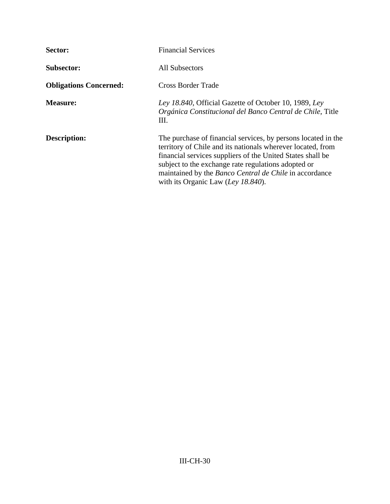| Sector:                       | <b>Financial Services</b>                                                                                                                                                                                                                                                                                                                                |
|-------------------------------|----------------------------------------------------------------------------------------------------------------------------------------------------------------------------------------------------------------------------------------------------------------------------------------------------------------------------------------------------------|
| <b>Subsector:</b>             | All Subsectors                                                                                                                                                                                                                                                                                                                                           |
| <b>Obligations Concerned:</b> | <b>Cross Border Trade</b>                                                                                                                                                                                                                                                                                                                                |
| <b>Measure:</b>               | Ley 18.840, Official Gazette of October 10, 1989, Ley<br>Orgánica Constitucional del Banco Central de Chile, Title<br>Ш.                                                                                                                                                                                                                                 |
| <b>Description:</b>           | The purchase of financial services, by persons located in the<br>territory of Chile and its nationals wherever located, from<br>financial services suppliers of the United States shall be<br>subject to the exchange rate regulations adopted or<br>maintained by the <i>Banco Central de Chile</i> in accordance<br>with its Organic Law (Ley 18.840). |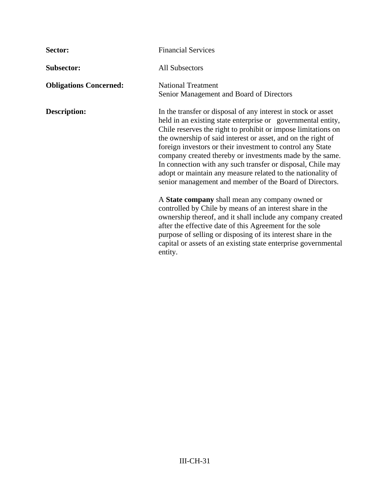| Sector:                       | <b>Financial Services</b>                                                                                                                                                                                                                                                                                                                                                                                                                                                                                                                                                         |
|-------------------------------|-----------------------------------------------------------------------------------------------------------------------------------------------------------------------------------------------------------------------------------------------------------------------------------------------------------------------------------------------------------------------------------------------------------------------------------------------------------------------------------------------------------------------------------------------------------------------------------|
| <b>Subsector:</b>             | <b>All Subsectors</b>                                                                                                                                                                                                                                                                                                                                                                                                                                                                                                                                                             |
| <b>Obligations Concerned:</b> | <b>National Treatment</b><br>Senior Management and Board of Directors                                                                                                                                                                                                                                                                                                                                                                                                                                                                                                             |
| <b>Description:</b>           | In the transfer or disposal of any interest in stock or asset<br>held in an existing state enterprise or governmental entity,<br>Chile reserves the right to prohibit or impose limitations on<br>the ownership of said interest or asset, and on the right of<br>foreign investors or their investment to control any State<br>company created thereby or investments made by the same.<br>In connection with any such transfer or disposal, Chile may<br>adopt or maintain any measure related to the nationality of<br>senior management and member of the Board of Directors. |
|                               | A State company shall mean any company owned or<br>controlled by Chile by means of an interest share in the<br>ownership thereof, and it shall include any company created<br>after the effective date of this Agreement for the sole<br>purpose of selling or disposing of its interest share in the<br>capital or assets of an existing state enterprise governmental<br>entity.                                                                                                                                                                                                |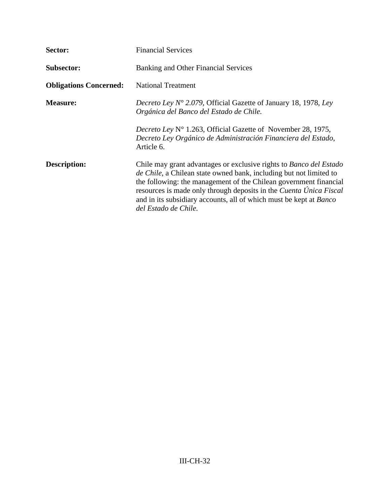| Sector:                       | <b>Financial Services</b>                                                                                                                                                                                                                                                                                                                                                                 |
|-------------------------------|-------------------------------------------------------------------------------------------------------------------------------------------------------------------------------------------------------------------------------------------------------------------------------------------------------------------------------------------------------------------------------------------|
| <b>Subsector:</b>             | <b>Banking and Other Financial Services</b>                                                                                                                                                                                                                                                                                                                                               |
| <b>Obligations Concerned:</b> | <b>National Treatment</b>                                                                                                                                                                                                                                                                                                                                                                 |
| <b>Measure:</b>               | <i>Decreto Ley N° 2.079</i> , Official Gazette of January 18, 1978, Ley<br>Orgánica del Banco del Estado de Chile.                                                                                                                                                                                                                                                                        |
|                               | Decreto Ley N° 1.263, Official Gazette of November 28, 1975,<br>Decreto Ley Orgánico de Administración Financiera del Estado,<br>Article 6.                                                                                                                                                                                                                                               |
| Description:                  | Chile may grant advantages or exclusive rights to Banco del Estado<br><i>de Chile</i> , a Chilean state owned bank, including but not limited to<br>the following: the management of the Chilean government financial<br>resources is made only through deposits in the Cuenta Única Fiscal<br>and in its subsidiary accounts, all of which must be kept at Banco<br>del Estado de Chile. |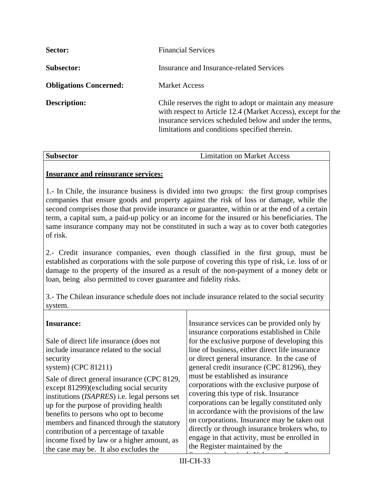| Sector:                       | <b>Financial Services</b>                                                                                                                                                                                                             |
|-------------------------------|---------------------------------------------------------------------------------------------------------------------------------------------------------------------------------------------------------------------------------------|
| <b>Subsector:</b>             | Insurance and Insurance-related Services                                                                                                                                                                                              |
| <b>Obligations Concerned:</b> | <b>Market Access</b>                                                                                                                                                                                                                  |
| <b>Description:</b>           | Chile reserves the right to adopt or maintain any measure<br>with respect to Article 12.4 (Market Access), except for the<br>insurance services scheduled below and under the terms,<br>limitations and conditions specified therein. |

| <b>Subsector</b> | <b>Limitation on Market Access</b> |
|------------------|------------------------------------|

### **Insurance and reinsurance services:**

1.- In Chile, the insurance business is divided into two groups: the first group comprises companies that ensure goods and property against the risk of loss or damage, while the second comprises those that provide insurance or guarantee, within or at the end of a certain term, a capital sum, a paid-up policy or an income for the insured or his beneficiaries. The same insurance company may not be constituted in such a way as to cover both categories of risk.

2.- Credit insurance companies, even though classified in the first group, must be established as corporations with the sole purpose of covering this type of risk, i.e. loss of or damage to the property of the insured as a result of the non-payment of a money debt or loan, being also permitted to cover guarantee and fidelity risks.

3.- The Chilean insurance schedule does not include insurance related to the social security system.

### **Insurance:**

Sale of direct life insurance (does not include insurance related to the social security

system) (CPC 81211)

Sale of direct general insurance (CPC 8129, except 81299)(excluding social security institutions (*ISAPRES*) i.e. legal persons set up for the purpose of providing health benefits to persons who opt to become members and financed through the statutory contribution of a percentage of taxable income fixed by law or a higher amount, as the case may be. It also excludes the

Insurance services can be provided only by insurance corporations established in Chile for the exclusive purpose of developing this line of business, either direct life insurance or direct general insurance. In the case of general credit insurance (CPC 81296), they must be established as insurance corporations with the exclusive purpose of covering this type of risk. Insurance corporations can be legally constituted only in accordance with the provisions of the law on corporations. Insurance may be taken out directly or through insurance brokers who, to engage in that activity, must be enrolled in the Register maintained by the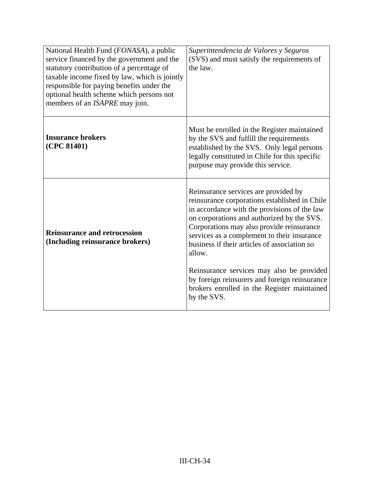| National Health Fund (FONASA), a public<br>service financed by the government and the<br>statutory contribution of a percentage of<br>taxable income fixed by law, which is jointly<br>responsible for paying benefits under the<br>optional health scheme which persons not<br>members of an <i>ISAPRE</i> may join. | Superintendencia de Valores y Seguros<br>(SVS) and must satisfy the requirements of<br>the law.                                                                                                                                                                                                                                                                                                                                                                                                       |
|-----------------------------------------------------------------------------------------------------------------------------------------------------------------------------------------------------------------------------------------------------------------------------------------------------------------------|-------------------------------------------------------------------------------------------------------------------------------------------------------------------------------------------------------------------------------------------------------------------------------------------------------------------------------------------------------------------------------------------------------------------------------------------------------------------------------------------------------|
| <b>Insurance brokers</b><br>(CPC 81401)                                                                                                                                                                                                                                                                               | Must be enrolled in the Register maintained<br>by the SVS and fulfill the requirements<br>established by the SVS. Only legal persons<br>legally constituted in Chile for this specific<br>purpose may provide this service.                                                                                                                                                                                                                                                                           |
| <b>Reinsurance and retrocession</b><br>(Including reinsurance brokers)                                                                                                                                                                                                                                                | Reinsurance services are provided by<br>reinsurance corporations established in Chile<br>in accordance with the provisions of the law<br>on corporations and authorized by the SVS.<br>Corporations may also provide reinsurance<br>services as a complement to their insurance<br>business if their articles of association so<br>allow.<br>Reinsurance services may also be provided<br>by foreign reinsurers and foreign reinsurance<br>brokers enrolled in the Register maintained<br>by the SVS. |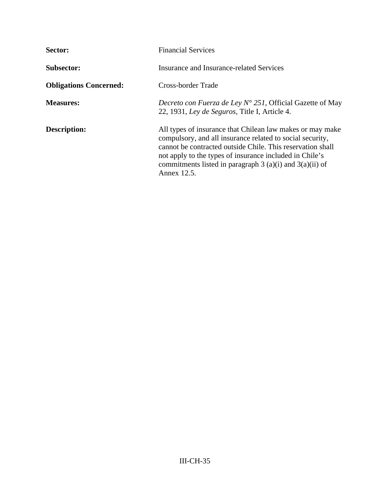| Sector:                       | <b>Financial Services</b>                                                                                                                                                                                                                                                                                                      |
|-------------------------------|--------------------------------------------------------------------------------------------------------------------------------------------------------------------------------------------------------------------------------------------------------------------------------------------------------------------------------|
| <b>Subsector:</b>             | Insurance and Insurance-related Services                                                                                                                                                                                                                                                                                       |
| <b>Obligations Concerned:</b> | Cross-border Trade                                                                                                                                                                                                                                                                                                             |
| <b>Measures:</b>              | <i>Decreto con Fuerza de Ley Nº 251</i> , Official Gazette of May<br>22, 1931, Ley de Seguros, Title I, Article 4.                                                                                                                                                                                                             |
| <b>Description:</b>           | All types of insurance that Chilean law makes or may make<br>compulsory, and all insurance related to social security,<br>cannot be contracted outside Chile. This reservation shall<br>not apply to the types of insurance included in Chile's<br>commitments listed in paragraph $3$ (a)(i) and $3(a)(ii)$ of<br>Annex 12.5. |